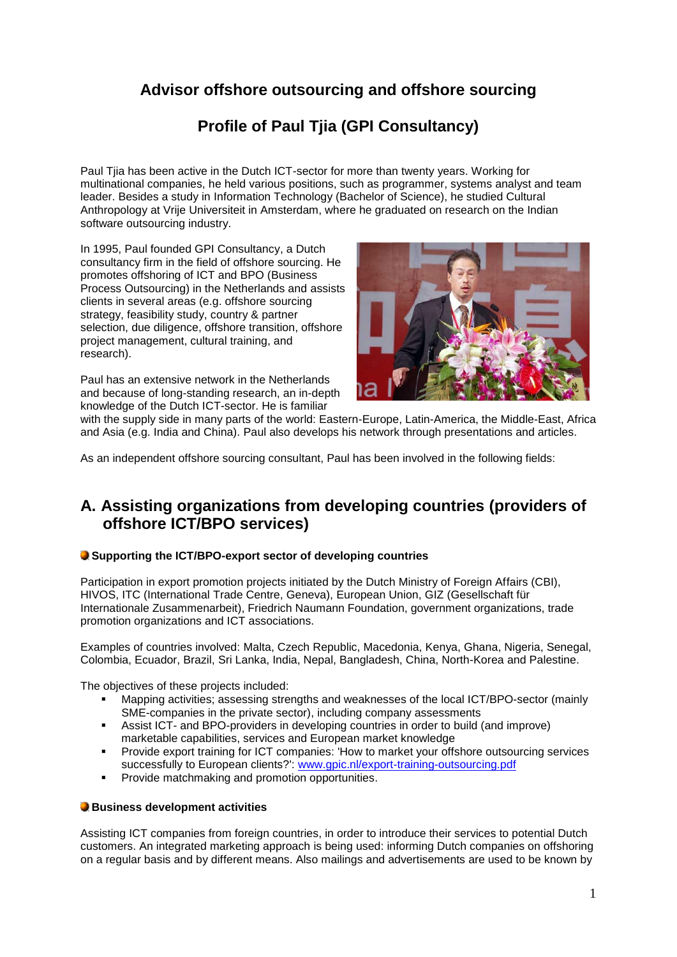# **Advisor offshore outsourcing and offshore sourcing**

## **Profile of Paul Tjia (GPI Consultancy)**

Paul Tjia has been active in the Dutch ICT-sector for more than twenty years. Working for multinational companies, he held various positions, such as programmer, systems analyst and team leader. Besides a study in Information Technology (Bachelor of Science), he studied Cultural Anthropology at Vrije Universiteit in Amsterdam, where he graduated on research on the Indian software outsourcing industry.

In 1995, Paul founded GPI Consultancy, a Dutch consultancy firm in the field of offshore sourcing. He promotes offshoring of ICT and BPO (Business Process Outsourcing) in the Netherlands and assists clients in several areas (e.g. offshore sourcing strategy, feasibility study, country & partner selection, due diligence, offshore transition, offshore project management, cultural training, and research).

Paul has an extensive network in the Netherlands and because of long-standing research, an in-depth knowledge of the Dutch ICT-sector. He is familiar



with the supply side in many parts of the world: Eastern-Europe, Latin-America, the Middle-East, Africa and Asia (e.g. India and China). Paul also develops his network through presentations and articles.

As an independent offshore sourcing consultant, Paul has been involved in the following fields:

### **A. Assisting organizations from developing countries (providers of offshore ICT/BPO services)**

### **Supporting the ICT/BPO-export sector of developing countries**

Participation in export promotion projects initiated by the Dutch Ministry of Foreign Affairs (CBI), HIVOS, ITC (International Trade Centre, Geneva), European Union, GIZ (Gesellschaft für Internationale Zusammenarbeit), Friedrich Naumann Foundation, government organizations, trade promotion organizations and ICT associations.

Examples of countries involved: Malta, Czech Republic, Macedonia, Kenya, Ghana, Nigeria, Senegal, Colombia, Ecuador, Brazil, Sri Lanka, India, Nepal, Bangladesh, China, North-Korea and Palestine.

The objectives of these projects included:

- Mapping activities; assessing strengths and weaknesses of the local ICT/BPO-sector (mainly SME-companies in the private sector), including company assessments
- Assist ICT- and BPO-providers in developing countries in order to build (and improve) marketable capabilities, services and European market knowledge
- Provide export training for ICT companies: 'How to market your offshore outsourcing services successfully to European clients?': [www.gpic.nl/export-training-outsourcing.pdf](http://www.gpic.nl/export-training-outsourcing.pdf)
- Provide matchmaking and promotion opportunities.

### **Business development activities**

Assisting ICT companies from foreign countries, in order to introduce their services to potential Dutch customers. An integrated marketing approach is being used: informing Dutch companies on offshoring on a regular basis and by different means. Also mailings and advertisements are used to be known by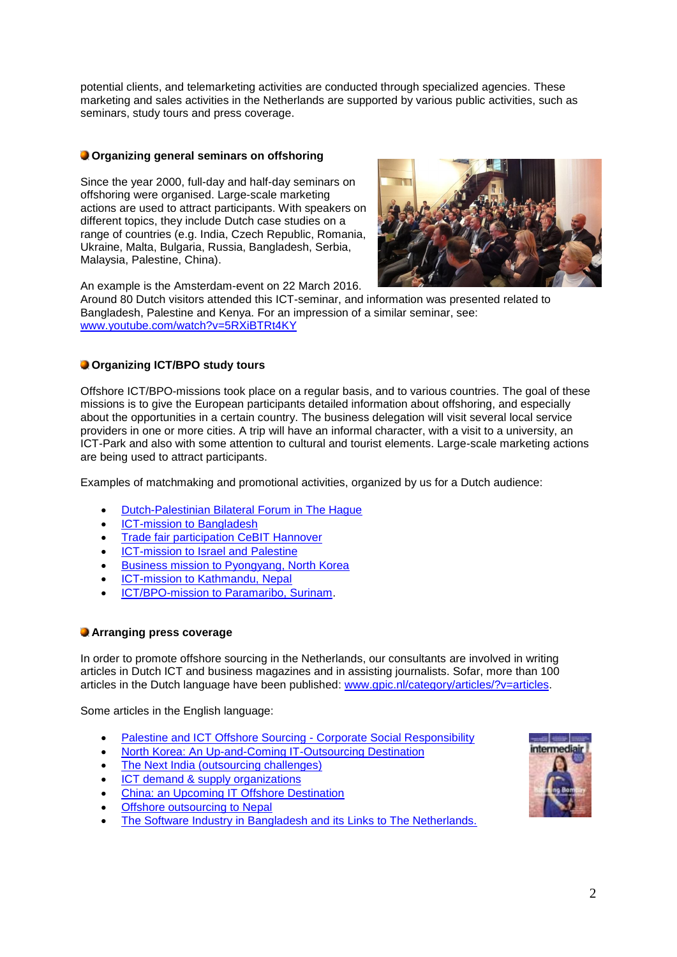potential clients, and telemarketing activities are conducted through specialized agencies. These marketing and sales activities in the Netherlands are supported by various public activities, such as seminars, study tours and press coverage.

### **Organizing general seminars on offshoring**

Since the year 2000, full-day and half-day seminars on offshoring were organised. Large-scale marketing actions are used to attract participants. With speakers on different topics, they include Dutch case studies on a range of countries (e.g. India, Czech Republic, Romania, Ukraine, Malta, Bulgaria, Russia, Bangladesh, Serbia, Malaysia, Palestine, China).



An example is the Amsterdam-event on 22 March 2016.

Around 80 Dutch visitors attended this ICT-seminar, and information was presented related to Bangladesh, Palestine and Kenya. For an impression of a similar seminar, see: [www.youtube.com/watch?v=5RXiBTRt4KY](http://www.youtube.com/watch?v=5RXiBTRt4KY)

### **Organizing ICT/BPO study tours**

Offshore ICT/BPO-missions took place on a regular basis, and to various countries. The goal of these missions is to give the European participants detailed information about offshoring, and especially about the opportunities in a certain country. The business delegation will visit several local service providers in one or more cities. A trip will have an informal character, with a visit to a university, an ICT-Park and also with some attention to cultural and tourist elements. Large-scale marketing actions are being used to attract participants.

Examples of matchmaking and promotional activities, organized by us for a Dutch audience:

- [Dutch-Palestinian Bilateral Forum in The Hague](http://www.gpic.nl/Dutch-Palestinian-ICT.pdf)
- [ICT-mission to Bangladesh](http://www.gpic.nl/BD-tour2012.pdf)
- [Trade fair participation CeBIT Hannover](http://www.cbi.eu/cebit2016)
- **ICT-mission to Israel and Palestine**
- [Business mission to Pyongyang, North Korea](http://www.gpic.nl/NKtourMay16.pdf)
- [ICT-mission to Kathmandu, Nepal](http://www.gpic.nl/Nepal-trip.pdf)
- [ICT/BPO-mission to Paramaribo, Surinam.](http://www.gpic.nl/Surinamereis.pdf)

### **Arranging press coverage**

In order to promote offshore sourcing in the Netherlands, our consultants are involved in writing articles in Dutch ICT and business magazines and in assisting journalists. Sofar, more than 100 articles in the Dutch language have been published: [www.gpic.nl/category/articles/?v=articles.](http://www.gpic.nl/category/articles/?v=articles)

Some articles in the English language:

- [Palestine and ICT Offshore Sourcing -](http://www.gpic.nl/Outsourcing-Palestine-CSR.pdf) Corporate Social Responsibility
- [North Korea: An Up-and-Coming IT-Outsourcing Destination](http://38north.org/2011/10/ptjia102611)
- [The Next India \(outsourcing challenges\)](http://www.thebrokeronline.eu/en/articles/The-next-India)
- [ICT demand & supply organizations](http://www.gpic.nl/demand-supply.pdf)
- [China: an Upcoming IT Offshore Destination](http://www.gpic.nl/chinconn.pdf)
- **[Offshore outsourcing to Nepal](http://www.gpic.nl/Nepal-trip.pdf)**
- [The Software Industry in Bangladesh and its Links to The Netherlands.](http://www.ejisdc.org/ojs2/index.php/ejisdc/article/viewFile/79/79)